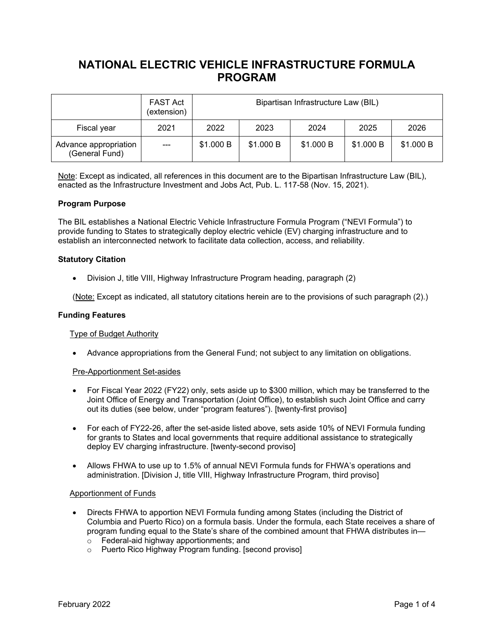# **NATIONAL ELECTRIC VEHICLE INFRASTRUCTURE FORMULA PROGRAM**

|                                         | <b>FAST Act</b><br>(extension) | Bipartisan Infrastructure Law (BIL) |           |           |           |           |
|-----------------------------------------|--------------------------------|-------------------------------------|-----------|-----------|-----------|-----------|
| Fiscal year                             | 2021                           | 2022                                | 2023      | 2024      | 2025      | 2026      |
| Advance appropriation<br>(General Fund) | $---$                          | \$1.000 B                           | \$1.000 B | \$1.000 B | \$1.000 B | \$1.000 B |

Note: Except as indicated, all references in this document are to the Bipartisan Infrastructure Law (BIL), enacted as the Infrastructure Investment and Jobs Act, Pub. L. 117-58 (Nov. 15, 2021).

# **Program Purpose**

The BIL establishes a National Electric Vehicle Infrastructure Formula Program ("NEVI Formula") to provide funding to States to strategically deploy electric vehicle (EV) charging infrastructure and to establish an interconnected network to facilitate data collection, access, and reliability.

### **Statutory Citation**

• Division J, title VIII, Highway Infrastructure Program heading, paragraph (2)

(Note: Except as indicated, all statutory citations herein are to the provisions of such paragraph (2).)

#### **Funding Features**

#### Type of Budget Authority

• Advance appropriations from the General Fund; not subject to any limitation on obligations.

#### Pre-Apportionment Set-asides

- For Fiscal Year 2022 (FY22) only, sets aside up to \$300 million, which may be transferred to the Joint Office of Energy and Transportation (Joint Office), to establish such Joint Office and carry out its duties (see below, under "program features"). [twenty-first proviso]
- For each of FY22-26, after the set-aside listed above, sets aside 10% of NEVI Formula funding for grants to States and local governments that require additional assistance to strategically deploy EV charging infrastructure. [twenty-second proviso]
- Allows FHWA to use up to 1.5% of annual NEVI Formula funds for FHWA's operations and administration. [Division J, title VIII, Highway Infrastructure Program, third proviso]

#### Apportionment of Funds

- Directs FHWA to apportion NEVI Formula funding among States (including the District of Columbia and Puerto Rico) on a formula basis. Under the formula, each State receives a share of program funding equal to the State's share of the combined amount that FHWA distributes in o Federal-aid highway apportionments; and
	- o Puerto Rico Highway Program funding. [second proviso]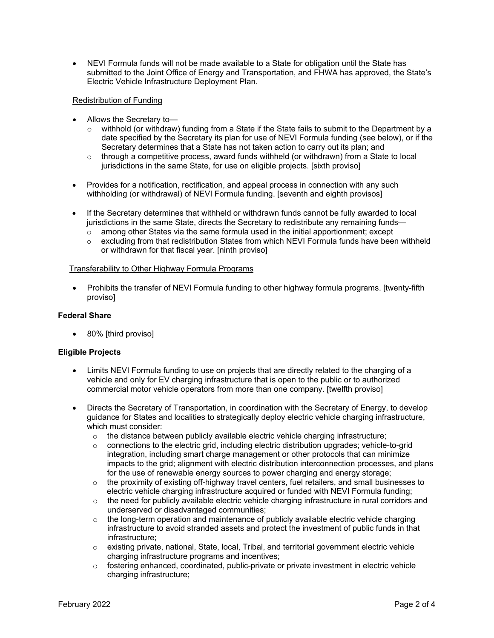• NEVI Formula funds will not be made available to a State for obligation until the State has submitted to the Joint Office of Energy and Transportation, and FHWA has approved, the State's Electric Vehicle Infrastructure Deployment Plan.

# Redistribution of Funding

- Allows the Secretary to
	- o withhold (or withdraw) funding from a State if the State fails to submit to the Department by a date specified by the Secretary its plan for use of NEVI Formula funding (see below), or if the Secretary determines that a State has not taken action to carry out its plan; and
	- $\circ$  through a competitive process, award funds withheld (or withdrawn) from a State to local jurisdictions in the same State, for use on eligible projects. [sixth proviso]
- Provides for a notification, rectification, and appeal process in connection with any such withholding (or withdrawal) of NEVI Formula funding. [seventh and eighth provisos]
- If the Secretary determines that withheld or withdrawn funds cannot be fully awarded to local jurisdictions in the same State, directs the Secretary to redistribute any remaining funds—
	- $\circ$  among other States via the same formula used in the initial apportionment; except
	- $\circ$  excluding from that redistribution States from which NEVI Formula funds have been withheld or withdrawn for that fiscal year. [ninth proviso]

# Transferability to Other Highway Formula Programs

• Prohibits the transfer of NEVI Formula funding to other highway formula programs. [twenty-fifth proviso]

# **Federal Share**

• 80% [third proviso]

# **Eligible Projects**

- Limits NEVI Formula funding to use on projects that are directly related to the charging of a vehicle and only for EV charging infrastructure that is open to the public or to authorized commercial motor vehicle operators from more than one company. [twelfth proviso]
- Directs the Secretary of Transportation, in coordination with the Secretary of Energy, to develop guidance for States and localities to strategically deploy electric vehicle charging infrastructure, which must consider:
	- $\circ$  the distance between publicly available electric vehicle charging infrastructure;
	- $\circ$  connections to the electric grid, including electric distribution upgrades; vehicle-to-grid integration, including smart charge management or other protocols that can minimize impacts to the grid; alignment with electric distribution interconnection processes, and plans for the use of renewable energy sources to power charging and energy storage;
	- $\circ$  the proximity of existing off-highway travel centers, fuel retailers, and small businesses to electric vehicle charging infrastructure acquired or funded with NEVI Formula funding;
	- o the need for publicly available electric vehicle charging infrastructure in rural corridors and underserved or disadvantaged communities;
	- $\circ$  the long-term operation and maintenance of publicly available electric vehicle charging infrastructure to avoid stranded assets and protect the investment of public funds in that infrastructure;
	- $\circ$  existing private, national, State, local, Tribal, and territorial government electric vehicle charging infrastructure programs and incentives;
	- $\circ$  fostering enhanced, coordinated, public-private or private investment in electric vehicle charging infrastructure;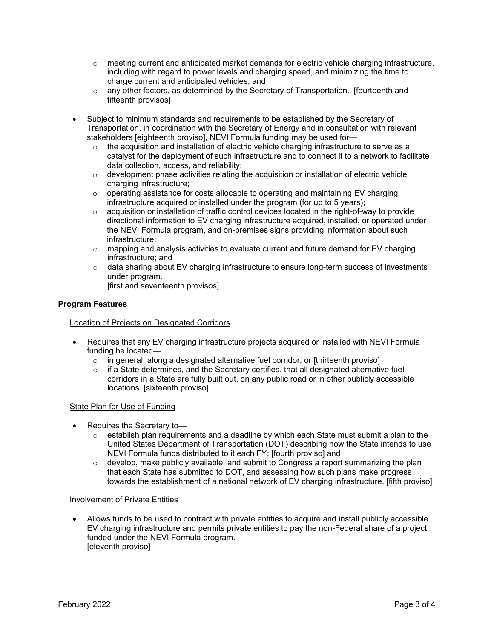- $\circ$  meeting current and anticipated market demands for electric vehicle charging infrastructure, including with regard to power levels and charging speed, and minimizing the time to charge current and anticipated vehicles; and
- $\circ$  any other factors, as determined by the Secretary of Transportation. [fourteenth and fifteenth provisos]
- Subject to minimum standards and requirements to be established by the Secretary of Transportation, in coordination with the Secretary of Energy and in consultation with relevant stakeholders [eighteenth proviso], NEVI Formula funding may be used for—
	- $\circ$  the acquisition and installation of electric vehicle charging infrastructure to serve as a catalyst for the deployment of such infrastructure and to connect it to a network to facilitate data collection, access, and reliability;
	- o development phase activities relating the acquisition or installation of electric vehicle charging infrastructure;
	- $\circ$  operating assistance for costs allocable to operating and maintaining EV charging infrastructure acquired or installed under the program (for up to 5 years);
	- $\circ$  acquisition or installation of traffic control devices located in the right-of-way to provide directional information to EV charging infrastructure acquired, installed, or operated under the NEVI Formula program, and on-premises signs providing information about such infrastructure;
	- $\circ$  mapping and analysis activities to evaluate current and future demand for EV charging infrastructure; and
	- $\circ$  data sharing about EV charging infrastructure to ensure long-term success of investments under program.
		- [first and seventeenth provisos]

# **Program Features**

# Location of Projects on Designated Corridors

- Requires that any EV charging infrastructure projects acquired or installed with NEVI Formula funding be located
	- o in general, along a designated alternative fuel corridor; or [thirteenth proviso]
	- $\circ$  if a State determines, and the Secretary certifies, that all designated alternative fuel corridors in a State are fully built out, on any public road or in other publicly accessible locations. [sixteenth proviso]

# State Plan for Use of Funding

- Requires the Secretary to—
	- $\circ$  establish plan requirements and a deadline by which each State must submit a plan to the United States Department of Transportation (DOT) describing how the State intends to use NEVI Formula funds distributed to it each FY; [fourth proviso] and
	- $\circ$  develop, make publicly available, and submit to Congress a report summarizing the plan that each State has submitted to DOT, and assessing how such plans make progress towards the establishment of a national network of EV charging infrastructure. [fifth proviso]

# Involvement of Private Entities

• Allows funds to be used to contract with private entities to acquire and install publicly accessible EV charging infrastructure and permits private entities to pay the non-Federal share of a project funded under the NEVI Formula program. [eleventh proviso]